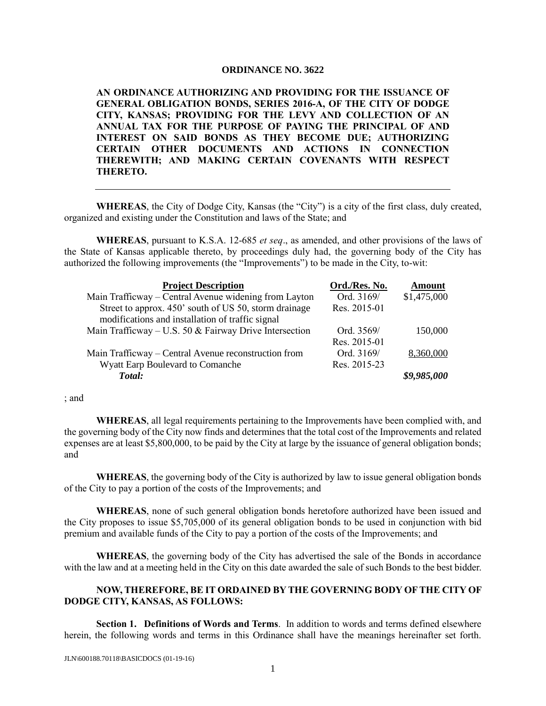## **ORDINANCE NO. 3622**

**AN ORDINANCE AUTHORIZING AND PROVIDING FOR THE ISSUANCE OF GENERAL OBLIGATION BONDS, SERIES 2016-A, OF THE CITY OF DODGE CITY, KANSAS; PROVIDING FOR THE LEVY AND COLLECTION OF AN ANNUAL TAX FOR THE PURPOSE OF PAYING THE PRINCIPAL OF AND INTEREST ON SAID BONDS AS THEY BECOME DUE; AUTHORIZING CERTAIN OTHER DOCUMENTS AND ACTIONS IN CONNECTION THEREWITH; AND MAKING CERTAIN COVENANTS WITH RESPECT THERETO.**

**WHEREAS**, the City of Dodge City, Kansas (the "City") is a city of the first class, duly created, organized and existing under the Constitution and laws of the State; and

**WHEREAS**, pursuant to K.S.A. 12-685 *et seq*., as amended, and other provisions of the laws of the State of Kansas applicable thereto, by proceedings duly had, the governing body of the City has authorized the following improvements (the "Improvements") to be made in the City, to-wit:

| <b>Project Description</b>                               | Ord./Res. No. | <b>Amount</b> |
|----------------------------------------------------------|---------------|---------------|
| Main Trafficway – Central Avenue widening from Layton    | Ord. 3169/    | \$1,475,000   |
| Street to approx. 450' south of US 50, storm drainage    | Res. 2015-01  |               |
| modifications and installation of traffic signal         |               |               |
| Main Trafficway – U.S. 50 $&$ Fairway Drive Intersection | Ord. 3569/    | 150,000       |
|                                                          | Res. 2015-01  |               |
| Main Trafficway – Central Avenue reconstruction from     | Ord. 3169/    | 8,360,000     |
| Wyatt Earp Boulevard to Comanche                         | Res. 2015-23  |               |
| Total:                                                   |               | \$9,985,000   |

; and

**WHEREAS**, all legal requirements pertaining to the Improvements have been complied with, and the governing body of the City now finds and determines that the total cost of the Improvements and related expenses are at least \$5,800,000, to be paid by the City at large by the issuance of general obligation bonds; and

**WHEREAS**, the governing body of the City is authorized by law to issue general obligation bonds of the City to pay a portion of the costs of the Improvements; and

**WHEREAS**, none of such general obligation bonds heretofore authorized have been issued and the City proposes to issue \$5,705,000 of its general obligation bonds to be used in conjunction with bid premium and available funds of the City to pay a portion of the costs of the Improvements; and

**WHEREAS**, the governing body of the City has advertised the sale of the Bonds in accordance with the law and at a meeting held in the City on this date awarded the sale of such Bonds to the best bidder.

## **NOW, THEREFORE, BE IT ORDAINED BY THE GOVERNING BODY OF THE CITY OF DODGE CITY, KANSAS, AS FOLLOWS:**

**Section 1. Definitions of Words and Terms**. In addition to words and terms defined elsewhere herein, the following words and terms in this Ordinance shall have the meanings hereinafter set forth.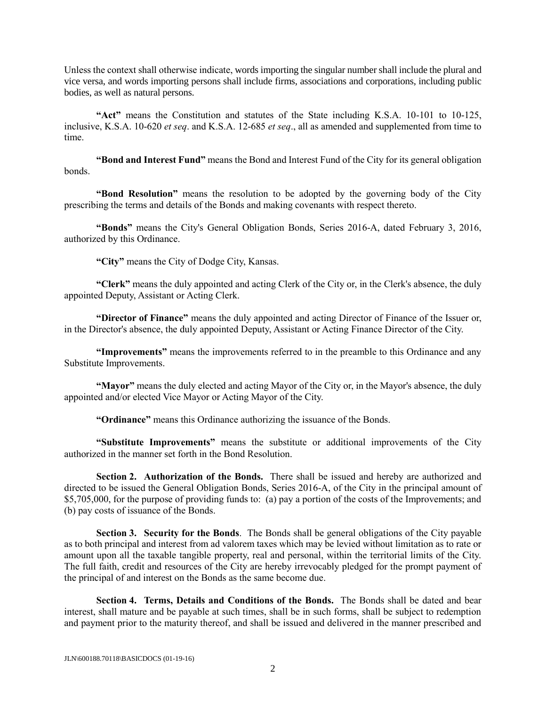Unless the context shall otherwise indicate, words importing the singular number shall include the plural and vice versa, and words importing persons shall include firms, associations and corporations, including public bodies, as well as natural persons.

**"Act"** means the Constitution and statutes of the State including K.S.A. 10-101 to 10-125, inclusive, K.S.A. 10-620 *et seq*. and K.S.A. 12-685 *et seq*., all as amended and supplemented from time to time.

**"Bond and Interest Fund"** means the Bond and Interest Fund of the City for its general obligation bonds.

**"Bond Resolution"** means the resolution to be adopted by the governing body of the City prescribing the terms and details of the Bonds and making covenants with respect thereto.

**"Bonds"** means the City's General Obligation Bonds, Series 2016-A, dated February 3, 2016, authorized by this Ordinance.

**"City"** means the City of Dodge City, Kansas.

**"Clerk"** means the duly appointed and acting Clerk of the City or, in the Clerk's absence, the duly appointed Deputy, Assistant or Acting Clerk.

**"Director of Finance"** means the duly appointed and acting Director of Finance of the Issuer or, in the Director's absence, the duly appointed Deputy, Assistant or Acting Finance Director of the City.

**"Improvements"** means the improvements referred to in the preamble to this Ordinance and any Substitute Improvements.

**"Mayor"** means the duly elected and acting Mayor of the City or, in the Mayor's absence, the duly appointed and/or elected Vice Mayor or Acting Mayor of the City.

**"Ordinance"** means this Ordinance authorizing the issuance of the Bonds.

**"Substitute Improvements"** means the substitute or additional improvements of the City authorized in the manner set forth in the Bond Resolution.

**Section 2. Authorization of the Bonds.** There shall be issued and hereby are authorized and directed to be issued the General Obligation Bonds, Series 2016-A, of the City in the principal amount of \$5,705,000, for the purpose of providing funds to: (a) pay a portion of the costs of the Improvements; and (b) pay costs of issuance of the Bonds.

**Section 3. Security for the Bonds**. The Bonds shall be general obligations of the City payable as to both principal and interest from ad valorem taxes which may be levied without limitation as to rate or amount upon all the taxable tangible property, real and personal, within the territorial limits of the City. The full faith, credit and resources of the City are hereby irrevocably pledged for the prompt payment of the principal of and interest on the Bonds as the same become due.

**Section 4. Terms, Details and Conditions of the Bonds.** The Bonds shall be dated and bear interest, shall mature and be payable at such times, shall be in such forms, shall be subject to redemption and payment prior to the maturity thereof, and shall be issued and delivered in the manner prescribed and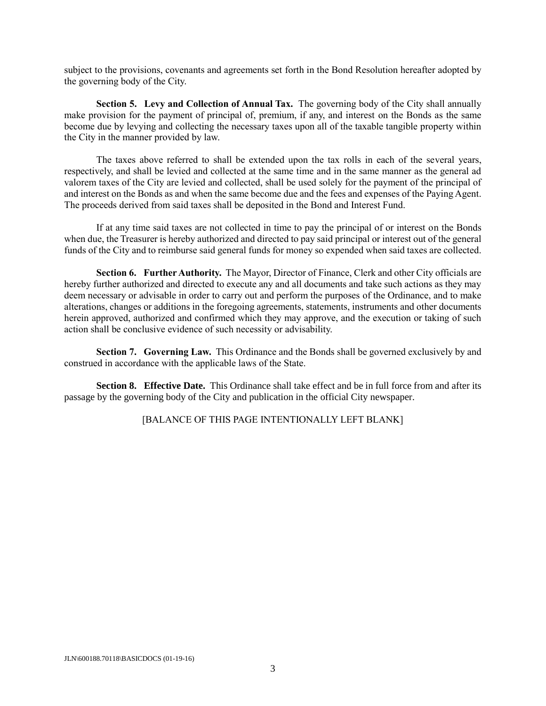subject to the provisions, covenants and agreements set forth in the Bond Resolution hereafter adopted by the governing body of the City.

**Section 5. Levy and Collection of Annual Tax.** The governing body of the City shall annually make provision for the payment of principal of, premium, if any, and interest on the Bonds as the same become due by levying and collecting the necessary taxes upon all of the taxable tangible property within the City in the manner provided by law.

The taxes above referred to shall be extended upon the tax rolls in each of the several years, respectively, and shall be levied and collected at the same time and in the same manner as the general ad valorem taxes of the City are levied and collected, shall be used solely for the payment of the principal of and interest on the Bonds as and when the same become due and the fees and expenses of the Paying Agent. The proceeds derived from said taxes shall be deposited in the Bond and Interest Fund.

If at any time said taxes are not collected in time to pay the principal of or interest on the Bonds when due, the Treasurer is hereby authorized and directed to pay said principal or interest out of the general funds of the City and to reimburse said general funds for money so expended when said taxes are collected.

**Section 6. Further Authority.** The Mayor, Director of Finance, Clerk and other City officials are hereby further authorized and directed to execute any and all documents and take such actions as they may deem necessary or advisable in order to carry out and perform the purposes of the Ordinance, and to make alterations, changes or additions in the foregoing agreements, statements, instruments and other documents herein approved, authorized and confirmed which they may approve, and the execution or taking of such action shall be conclusive evidence of such necessity or advisability.

**Section 7. Governing Law.** This Ordinance and the Bonds shall be governed exclusively by and construed in accordance with the applicable laws of the State.

**Section 8. Effective Date.** This Ordinance shall take effect and be in full force from and after its passage by the governing body of the City and publication in the official City newspaper.

[BALANCE OF THIS PAGE INTENTIONALLY LEFT BLANK]